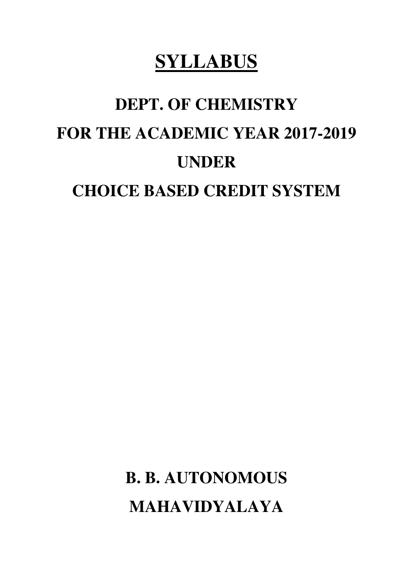## **SYLLABUS**

# **DEPT. OF CHEMISTRY FOR THE ACADEMIC YEAR 2017-2019 UNDER CHOICE BASED CREDIT SYSTEM**

**B. B. AUTONOMOUS MAHAVIDYALAYA**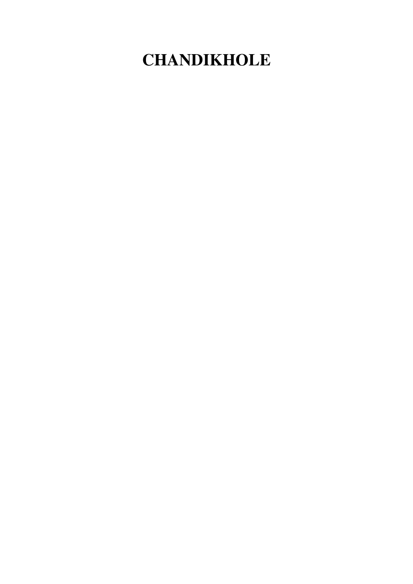## **CHANDIKHOLE**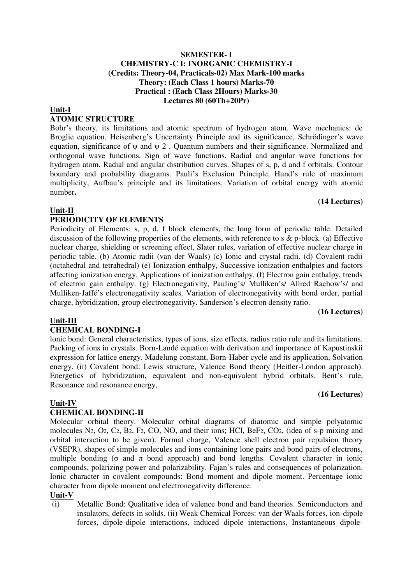#### **SEMESTER- I CHEMISTRY-C I: INORGANIC CHEMISTRY-I (Credits: Theory-04, Practicals-02) Max Mark-100 marks Theory: (Each Class 1 hours) Marks-70 Practical : (Each Class 2Hours) Marks-30 Lectures 80 (60Th+20Pr)**

#### **Unit-I**

#### **ATOMIC STRUCTURE**

Bohr's theory, its limitations and atomic spectrum of hydrogen atom. Wave mechanics: de Broglie equation, Heisenberg's Uncertainty Principle and its significance, Schrödinger's wave equation, significance of  $\psi$  and  $\psi$  2. Quantum numbers and their significance. Normalized and orthogonal wave functions. Sign of wave functions. Radial and angular wave functions for hydrogen atom. Radial and angular distribution curves. Shapes of s, p, d and f orbitals. Contour boundary and probability diagrams. Pauli's Exclusion Principle, Hund's rule of maximum multiplicity, Aufbau's principle and its limitations, Variation of orbital energy with atomic number**.** 

#### **(14 Lectures)**

#### **Unit-II**

#### **PERIODICITY OF ELEMENTS**

Periodicity of Elements: s, p, d, f block elements, the long form of periodic table. Detailed discussion of the following properties of the elements, with reference to s & p-block. (a) Effective nuclear charge, shielding or screening effect, Slater rules, variation of effective nuclear charge in periodic table. (b) Atomic radii (van der Waals) (c) Ionic and crystal radii. (d) Covalent radii (octahedral and tetrahedral) (e) Ionization enthalpy, Successive ionization enthalpies and factors affecting ionization energy. Applications of ionization enthalpy. (f) Electron gain enthalpy, trends of electron gain enthalpy. (g) Electronegativity, Pauling's/ Mulliken's/ Allred Rachow's/ and Mulliken-Jaffé's electronegativity scales. Variation of electronegativity with bond order, partial charge, hybridization, group electronegativity. Sanderson's electron density ratio.

#### **(16 Lectures)**

#### **Unit-III**

#### **CHEMICAL BONDING-I**

lonic bond: General characteristics, types of ions, size effects, radius ratio rule and its limitations. Packing of ions in crystals. Born-Landé equation with derivation and importance of Kapustinskii expression for lattice energy. Madelung constant, Born-Haber cycle and its application, Solvation energy. (ii) Covalent bond: Lewis structure, Valence Bond theory (Heitler-London approach). Energetics of hybridization, equivalent and non-equivalent hybrid orbitals. Bent's rule, Resonance and resonance energy,

#### **(16 Lectures)**

#### **Unit-IV**

#### **CHEMICAL BONDING-II**

Molecular orbital theory. Molecular orbital diagrams of diatomic and simple polyatomic molecules N2, O2, C2, B2, F2, CO, NO, and their ions; HCl, BeF2, CO2, (idea of s-p mixing and orbital interaction to be given). Formal charge, Valence shell electron pair repulsion theory (VSEPR), shapes of simple molecules and ions containing lone pairs and bond pairs of electrons, multiple bonding ( $\sigma$  and  $\pi$  bond approach) and bond lengths. Covalent character in ionic compounds, polarizing power and polarizability. Fajan's rules and consequences of polarization. Ionic character in covalent compounds: Bond moment and dipole moment. Percentage ionic character from dipole moment and electronegativity difference.

#### **Unit-V**

(i) Metallic Bond: Qualitative idea of valence bond and band theories. Semiconductors and insulators, defects in solids. (ii) Weak Chemical Forces: van der Waals forces, ion-dipole forces, dipole-dipole interactions, induced dipole interactions, Instantaneous dipole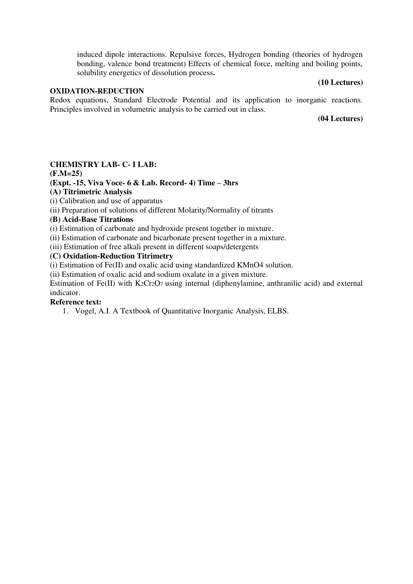induced dipole interactions. Repulsive forces, Hydrogen bonding (theories of hydrogen bonding, valence bond treatment) Effects of chemical force, melting and boiling points, solubility energetics of dissolution process**.** 

#### **OXIDATION-REDUCTION**

Redox equations, Standard Electrode Potential and its application to inorganic reactions. Principles involved in volumetric analysis to be carried out in class.

**(04 Lectures)** 

**(10 Lectures)** 

#### **CHEMISTRY LAB- C- I LAB:**

**(F.M=25)** 

#### **(Expt. -15, Viva Voce- 6 & Lab. Record- 4) Time – 3hrs**

**(A) Titrimetric Analysis** 

(i) Calibration and use of apparatus

(ii) Preparation of solutions of different Molarity/Normality of titrants

#### **(B) Acid-Base Titrations**

(i) Estimation of carbonate and hydroxide present together in mixture.

(ii) Estimation of carbonate and bicarbonate present together in a mixture.

(iii) Estimation of free alkali present in different soaps/detergents

#### **(C) Oxidation-Reduction Titrimetry**

(i) Estimation of Fe(II) and oxalic acid using standardized KMnO4 solution.

(ii) Estimation of oxalic acid and sodium oxalate in a given mixture.

Estimation of Fe(II) with K2Cr2O7 using internal (diphenylamine, anthranilic acid) and external indicator.

#### **Reference text:**

1. Vogel, A.I. A Textbook of Quantitative Inorganic Analysis, ELBS.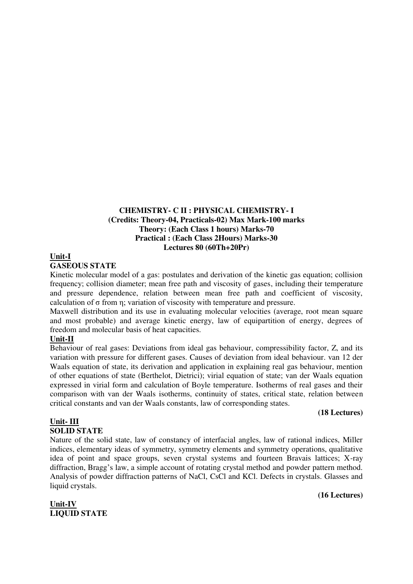#### **CHEMISTRY- C II : PHYSICAL CHEMISTRY- I (Credits: Theory-04, Practicals-02) Max Mark-100 marks Theory: (Each Class 1 hours) Marks-70 Practical : (Each Class 2Hours) Marks-30 Lectures 80 (60Th+20Pr)**

#### **Unit-I**

#### **GASEOUS STATE**

Kinetic molecular model of a gas: postulates and derivation of the kinetic gas equation; collision frequency; collision diameter; mean free path and viscosity of gases, including their temperature and pressure dependence, relation between mean free path and coefficient of viscosity, calculation of  $\sigma$  from  $\eta$ ; variation of viscosity with temperature and pressure.

Maxwell distribution and its use in evaluating molecular velocities (average, root mean square and most probable) and average kinetic energy, law of equipartition of energy, degrees of freedom and molecular basis of heat capacities.

#### **Unit-II**

Behaviour of real gases: Deviations from ideal gas behaviour, compressibility factor, Z, and its variation with pressure for different gases. Causes of deviation from ideal behaviour. van 12 der Waals equation of state, its derivation and application in explaining real gas behaviour, mention of other equations of state (Berthelot, Dietrici); virial equation of state; van der Waals equation expressed in virial form and calculation of Boyle temperature. Isotherms of real gases and their comparison with van der Waals isotherms, continuity of states, critical state, relation between critical constants and van der Waals constants, law of corresponding states.

#### **(18 Lectures)**

#### **Unit- III**

#### **SOLID STATE**

Nature of the solid state, law of constancy of interfacial angles, law of rational indices, Miller indices, elementary ideas of symmetry, symmetry elements and symmetry operations, qualitative idea of point and space groups, seven crystal systems and fourteen Bravais lattices; X-ray diffraction, Bragg's law, a simple account of rotating crystal method and powder pattern method. Analysis of powder diffraction patterns of NaCl, CsCl and KCl. Defects in crystals. Glasses and liquid crystals.

**Unit-IV LIQUID STATE**  **(16 Lectures)**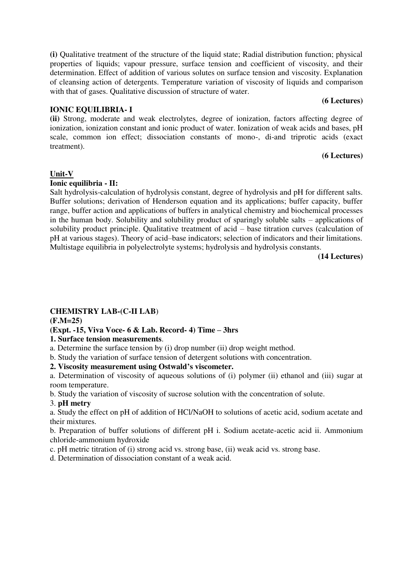**(i)** Qualitative treatment of the structure of the liquid state; Radial distribution function; physical properties of liquids; vapour pressure, surface tension and coefficient of viscosity, and their determination. Effect of addition of various solutes on surface tension and viscosity. Explanation of cleansing action of detergents. Temperature variation of viscosity of liquids and comparison with that of gases. Qualitative discussion of structure of water.

#### **(6 Lectures)**

#### **IONIC EQUILIBRIA- I**

**(ii)** Strong, moderate and weak electrolytes, degree of ionization, factors affecting degree of ionization, ionization constant and ionic product of water. Ionization of weak acids and bases, pH scale, common ion effect; dissociation constants of mono-, di-and triprotic acids (exact treatment).

#### **(6 Lectures)**

#### **Unit-V**

#### **Ionic equilibria - II:**

Salt hydrolysis-calculation of hydrolysis constant, degree of hydrolysis and pH for different salts. Buffer solutions; derivation of Henderson equation and its applications; buffer capacity, buffer range, buffer action and applications of buffers in analytical chemistry and biochemical processes in the human body. Solubility and solubility product of sparingly soluble salts – applications of solubility product principle. Qualitative treatment of acid – base titration curves (calculation of pH at various stages). Theory of acid–base indicators; selection of indicators and their limitations. Multistage equilibria in polyelectrolyte systems; hydrolysis and hydrolysis constants.

#### **(14 Lectures)**

#### **CHEMISTRY LAB-(C-II LAB**)

**(F.M=25)** 

#### **(Expt. -15, Viva Voce- 6 & Lab. Record- 4) Time – 3hrs**

#### **1. Surface tension measurements**.

a. Determine the surface tension by (i) drop number (ii) drop weight method.

b. Study the variation of surface tension of detergent solutions with concentration.

#### **2. Viscosity measurement using Ostwald's viscometer.**

a. Determination of viscosity of aqueous solutions of (i) polymer (ii) ethanol and (iii) sugar at room temperature.

b. Study the variation of viscosity of sucrose solution with the concentration of solute.

#### 3. **pH metry**

a. Study the effect on pH of addition of HCl/NaOH to solutions of acetic acid, sodium acetate and their mixtures.

b. Preparation of buffer solutions of different pH i. Sodium acetate-acetic acid ii. Ammonium chloride-ammonium hydroxide

c. pH metric titration of (i) strong acid vs. strong base, (ii) weak acid vs. strong base.

d. Determination of dissociation constant of a weak acid.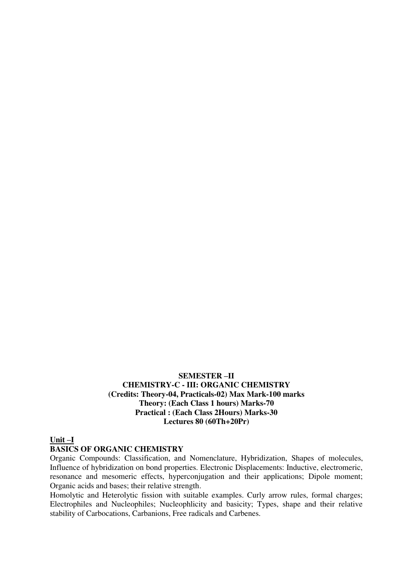#### **SEMESTER –II CHEMISTRY-C - III: ORGANIC CHEMISTRY (Credits: Theory-04, Practicals-02) Max Mark-100 marks Theory: (Each Class 1 hours) Marks-70 Practical : (Each Class 2Hours) Marks-30 Lectures 80 (60Th+20Pr)**

#### **Unit –I**

#### **BASICS OF ORGANIC CHEMISTRY**

Organic Compounds: Classification, and Nomenclature, Hybridization, Shapes of molecules, Influence of hybridization on bond properties. Electronic Displacements: Inductive, electromeric, resonance and mesomeric effects, hyperconjugation and their applications; Dipole moment; Organic acids and bases; their relative strength.

Homolytic and Heterolytic fission with suitable examples. Curly arrow rules, formal charges; Electrophiles and Nucleophiles; Nucleophlicity and basicity; Types, shape and their relative stability of Carbocations, Carbanions, Free radicals and Carbenes.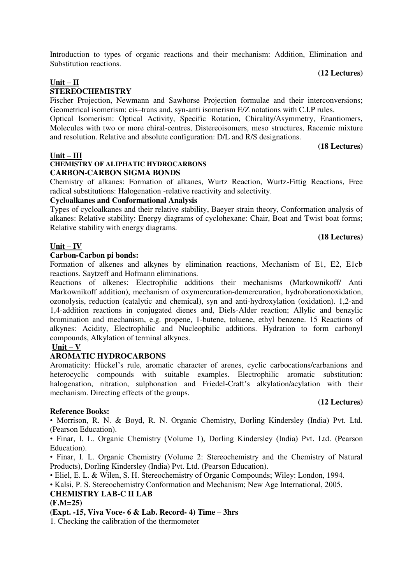Introduction to types of organic reactions and their mechanism: Addition, Elimination and Substitution reactions.

### $Unit - II$

#### **STEREOCHEMISTRY**

Fischer Projection, Newmann and Sawhorse Projection formulae and their interconversions; Geometrical isomerism: cis–trans and, syn-anti isomerism E/Z notations with C.I.P rules.

Optical Isomerism: Optical Activity, Specific Rotation, Chirality/Asymmetry, Enantiomers, Molecules with two or more chiral-centres, Distereoisomers, meso structures, Racemic mixture and resolution. Relative and absolute configuration: D/L and R/S designations.

#### **Unit – III**

#### **CHEMISTRY OF ALIPHATIC HYDROCARBONS CARBON-CARBON SIGMA BONDS**

Chemistry of alkanes: Formation of alkanes, Wurtz Reaction, Wurtz-Fittig Reactions, Free radical substitutions: Halogenation -relative reactivity and selectivity.

#### **Cycloalkanes and Conformational Analysis**

Types of cycloalkanes and their relative stability, Baeyer strain theory, Conformation analysis of alkanes: Relative stability: Energy diagrams of cyclohexane: Chair, Boat and Twist boat forms; Relative stability with energy diagrams.

#### **(18 Lectures)**

#### $Unit - IV$

#### **Carbon-Carbon pi bonds:**

Formation of alkenes and alkynes by elimination reactions, Mechanism of E1, E2, E1cb reactions. Saytzeff and Hofmann eliminations.

Reactions of alkenes: Electrophilic additions their mechanisms (Markownikoff/ Anti Markownikoff addition), mechanism of oxymercuration-demercuration, hydroborationoxidation, ozonolysis, reduction (catalytic and chemical), syn and anti-hydroxylation (oxidation). 1,2-and 1,4-addition reactions in conjugated dienes and, Diels-Alder reaction; Allylic and benzylic bromination and mechanism, e.g. propene, 1-butene, toluene, ethyl benzene. 15 Reactions of alkynes: Acidity, Electrophilic and Nucleophilic additions. Hydration to form carbonyl compounds, Alkylation of terminal alkynes.

#### **Unit – V**

#### **AROMATIC HYDROCARBONS**

Aromaticity: Hückel's rule, aromatic character of arenes, cyclic carbocations/carbanions and heterocyclic compounds with suitable examples. Electrophilic aromatic substitution: halogenation, nitration, sulphonation and Friedel-Craft's alkylation/acylation with their mechanism. Directing effects of the groups.

#### **Reference Books:**

• Morrison, R. N. & Boyd, R. N. Organic Chemistry, Dorling Kindersley (India) Pvt. Ltd. (Pearson Education).

• Finar, I. L. Organic Chemistry (Volume 1), Dorling Kindersley (India) Pvt. Ltd. (Pearson Education).

• Finar, I. L. Organic Chemistry (Volume 2: Stereochemistry and the Chemistry of Natural Products), Dorling Kindersley (India) Pvt. Ltd. (Pearson Education).

• Eliel, E. L. & Wilen, S. H. Stereochemistry of Organic Compounds; Wiley: London, 1994.

• Kalsi, P. S. Stereochemistry Conformation and Mechanism; New Age International, 2005.

#### **CHEMISTRY LAB-C II LAB**

#### **(F.M=25)**

**(Expt. -15, Viva Voce- 6 & Lab. Record- 4) Time – 3hrs** 

1. Checking the calibration of the thermometer

#### **(12 Lectures)**

**(18 Lectures)** 

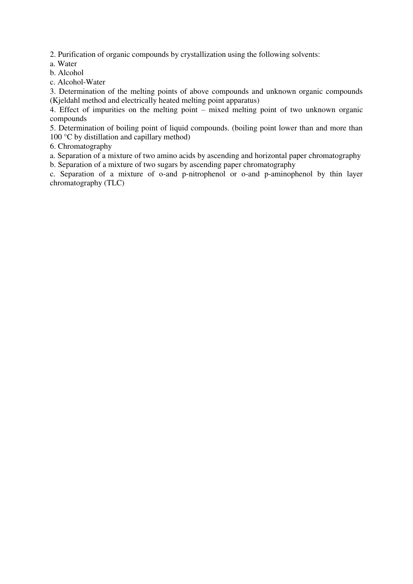2. Purification of organic compounds by crystallization using the following solvents:

a. Water

b. Alcohol

c. Alcohol-Water

3. Determination of the melting points of above compounds and unknown organic compounds (Kjeldahl method and electrically heated melting point apparatus)

4. Effect of impurities on the melting point – mixed melting point of two unknown organic compounds

5. Determination of boiling point of liquid compounds. (boiling point lower than and more than 100 °C by distillation and capillary method)

6. Chromatography

a. Separation of a mixture of two amino acids by ascending and horizontal paper chromatography b. Separation of a mixture of two sugars by ascending paper chromatography

c. Separation of a mixture of o-and p-nitrophenol or o-and p-aminophenol by thin layer chromatography (TLC)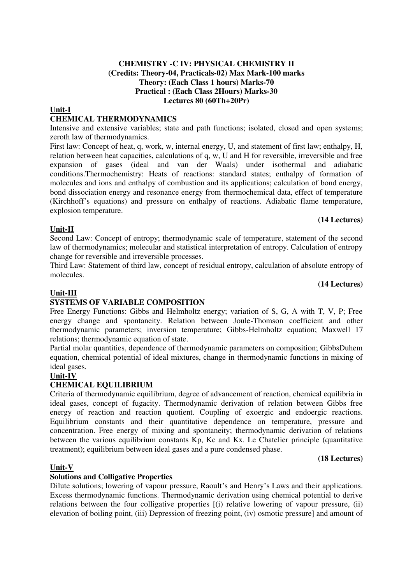#### **CHEMISTRY -C IV: PHYSICAL CHEMISTRY II (Credits: Theory-04, Practicals-02) Max Mark-100 marks Theory: (Each Class 1 hours) Marks-70 Practical : (Each Class 2Hours) Marks-30 Lectures 80 (60Th+20Pr)**

#### **Unit-I**

#### **CHEMICAL THERMODYNAMICS**

Intensive and extensive variables; state and path functions; isolated, closed and open systems; zeroth law of thermodynamics.

First law: Concept of heat, q, work, w, internal energy, U, and statement of first law; enthalpy, H, relation between heat capacities, calculations of q, w, U and H for reversible, irreversible and free expansion of gases (ideal and van der Waals) under isothermal and adiabatic conditions.Thermochemistry: Heats of reactions: standard states; enthalpy of formation of molecules and ions and enthalpy of combustion and its applications; calculation of bond energy, bond dissociation energy and resonance energy from thermochemical data, effect of temperature (Kirchhoff's equations) and pressure on enthalpy of reactions. Adiabatic flame temperature, explosion temperature.

#### **(14 Lectures)**

#### **Unit-II**

Second Law: Concept of entropy; thermodynamic scale of temperature, statement of the second law of thermodynamics; molecular and statistical interpretation of entropy. Calculation of entropy change for reversible and irreversible processes.

Third Law: Statement of third law, concept of residual entropy, calculation of absolute entropy of molecules.

#### **(14 Lectures)**

#### **Unit-III**

#### **SYSTEMS OF VARIABLE COMPOSITION**

Free Energy Functions: Gibbs and Helmholtz energy; variation of S, G, A with T, V, P; Free energy change and spontaneity. Relation between Joule-Thomson coefficient and other thermodynamic parameters; inversion temperature; Gibbs-Helmholtz equation; Maxwell 17 relations; thermodynamic equation of state.

Partial molar quantities, dependence of thermodynamic parameters on composition; GibbsDuhem equation, chemical potential of ideal mixtures, change in thermodynamic functions in mixing of ideal gases.

#### **Unit-IV**

#### **CHEMICAL EQUILIBRIUM**

Criteria of thermodynamic equilibrium, degree of advancement of reaction, chemical equilibria in ideal gases, concept of fugacity. Thermodynamic derivation of relation between Gibbs free energy of reaction and reaction quotient. Coupling of exoergic and endoergic reactions. Equilibrium constants and their quantitative dependence on temperature, pressure and concentration. Free energy of mixing and spontaneity; thermodynamic derivation of relations between the various equilibrium constants Kp, Kc and Kx. Le Chatelier principle (quantitative treatment); equilibrium between ideal gases and a pure condensed phase.

#### **(18 Lectures)**

#### **Unit-V**

#### **Solutions and Colligative Properties**

Dilute solutions; lowering of vapour pressure, Raoult's and Henry's Laws and their applications. Excess thermodynamic functions. Thermodynamic derivation using chemical potential to derive relations between the four colligative properties [(i) relative lowering of vapour pressure, (ii) elevation of boiling point, (iii) Depression of freezing point, (iv) osmotic pressure] and amount of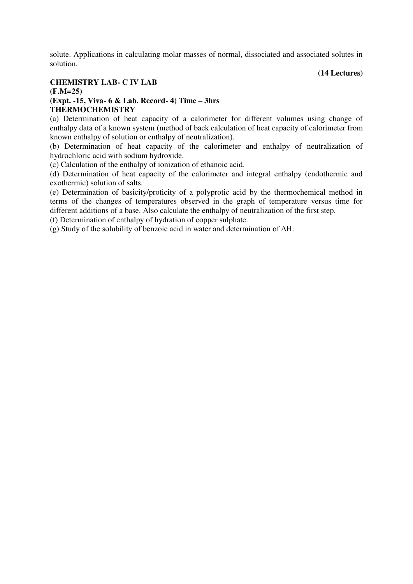solute. Applications in calculating molar masses of normal, dissociated and associated solutes in solution.

#### **(14 Lectures)**

#### **CHEMISTRY LAB- C IV LAB (F.M=25)**

#### **(Expt. -15, Viva- 6 & Lab. Record- 4) Time – 3hrs THERMOCHEMISTRY**

(a) Determination of heat capacity of a calorimeter for different volumes using change of enthalpy data of a known system (method of back calculation of heat capacity of calorimeter from known enthalpy of solution or enthalpy of neutralization).

(b) Determination of heat capacity of the calorimeter and enthalpy of neutralization of hydrochloric acid with sodium hydroxide.

(c) Calculation of the enthalpy of ionization of ethanoic acid.

(d) Determination of heat capacity of the calorimeter and integral enthalpy (endothermic and exothermic) solution of salts.

(e) Determination of basicity/proticity of a polyprotic acid by the thermochemical method in terms of the changes of temperatures observed in the graph of temperature versus time for different additions of a base. Also calculate the enthalpy of neutralization of the first step.

(f) Determination of enthalpy of hydration of copper sulphate.

(g) Study of the solubility of benzoic acid in water and determination of ΔH.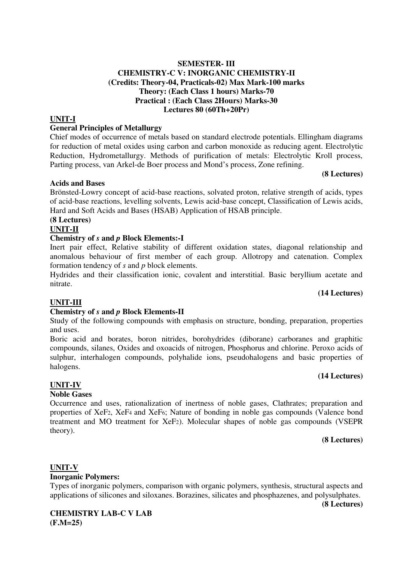#### **SEMESTER- III CHEMISTRY-C V: INORGANIC CHEMISTRY-II (Credits: Theory-04, Practicals-02) Max Mark-100 marks Theory: (Each Class 1 hours) Marks-70 Practical : (Each Class 2Hours) Marks-30 Lectures 80 (60Th+20Pr)**

#### **UNIT-I**

#### **General Principles of Metallurgy**

Chief modes of occurrence of metals based on standard electrode potentials. Ellingham diagrams for reduction of metal oxides using carbon and carbon monoxide as reducing agent. Electrolytic Reduction, Hydrometallurgy. Methods of purification of metals: Electrolytic Kroll process, Parting process, van Arkel-de Boer process and Mond's process, Zone refining.

#### **Acids and Bases**

Brönsted-Lowry concept of acid-base reactions, solvated proton, relative strength of acids, types of acid-base reactions, levelling solvents, Lewis acid-base concept, Classification of Lewis acids, Hard and Soft Acids and Bases (HSAB) Application of HSAB principle.

#### **(8 Lectures)**

#### **UNIT-II**

#### **Chemistry of** *s* **and** *p* **Block Elements:-I**

Inert pair effect, Relative stability of different oxidation states, diagonal relationship and anomalous behaviour of first member of each group. Allotropy and catenation. Complex formation tendency of *s* and *p* block elements.

Hydrides and their classification ionic, covalent and interstitial. Basic beryllium acetate and nitrate.

#### **(14 Lectures)**

**(8 Lectures)** 

#### **UNIT-III**

#### **Chemistry of** *s* **and** *p* **Block Elements-II**

Study of the following compounds with emphasis on structure, bonding, preparation, properties and uses.

Boric acid and borates, boron nitrides, borohydrides (diborane) carboranes and graphitic compounds, silanes, Oxides and oxoacids of nitrogen, Phosphorus and chlorine. Peroxo acids of sulphur, interhalogen compounds, polyhalide ions, pseudohalogens and basic properties of halogens.

#### **(14 Lectures)**

#### **UNIT-IV**

#### **Noble Gases**

Occurrence and uses, rationalization of inertness of noble gases, Clathrates; preparation and properties of XeF2, XeF4 and XeF6; Nature of bonding in noble gas compounds (Valence bond treatment and MO treatment for XeF2). Molecular shapes of noble gas compounds (VSEPR theory).

#### **(8 Lectures)**

#### **UNIT-V**

#### **Inorganic Polymers:**

Types of inorganic polymers, comparison with organic polymers, synthesis, structural aspects and applications of silicones and siloxanes. Borazines, silicates and phosphazenes, and polysulphates.

**(8 Lectures)** 

**CHEMISTRY LAB-C V LAB (F.M=25)**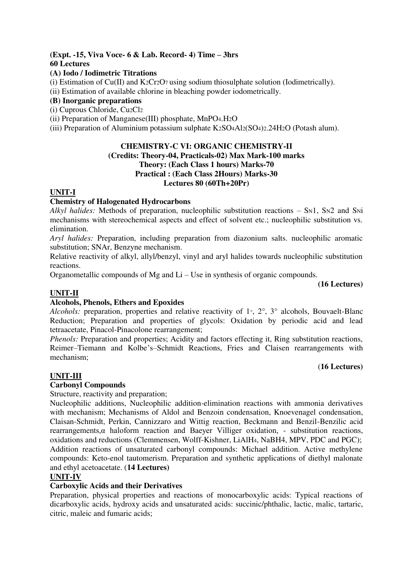#### **(Expt. -15, Viva Voce- 6 & Lab. Record- 4) Time – 3hrs 60 Lectures**

#### **(A) Iodo / Iodimetric Titrations**

(i) Estimation of Cu(II) and K2Cr2O7 using sodium thiosulphate solution (Iodimetrically).

(ii) Estimation of available chlorine in bleaching powder iodometrically.

#### **(B) Inorganic preparations**

(i) Cuprous Chloride, Cu2Cl<sup>2</sup>

(ii) Preparation of Manganese(III) phosphate, MnPO4.H2O

(iii) Preparation of Aluminium potassium sulphate K2SO4Al2(SO4)2.24H2O (Potash alum).

#### **CHEMISTRY-C VI: ORGANIC CHEMISTRY-II (Credits: Theory-04, Practicals-02) Max Mark-100 marks Theory: (Each Class 1 hours) Marks-70 Practical : (Each Class 2Hours) Marks-30 Lectures 80 (60Th+20Pr)**

#### **UNIT-I**

#### **Chemistry of Halogenated Hydrocarbons**

*Alkyl halides:* Methods of preparation, nucleophilic substitution reactions – SN1, SN2 and SNi mechanisms with stereochemical aspects and effect of solvent etc.; nucleophilic substitution vs. elimination.

*Aryl halides:* Preparation, including preparation from diazonium salts. nucleophilic aromatic substitution; SNAr, Benzyne mechanism.

Relative reactivity of alkyl, allyl/benzyl, vinyl and aryl halides towards nucleophilic substitution reactions.

Organometallic compounds of Mg and Li – Use in synthesis of organic compounds.

#### **(16 Lectures)**

#### **UNIT-II**

#### **Alcohols, Phenols, Ethers and Epoxides**

*Alcohols:* preparation, properties and relative reactivity of 1<sup>°</sup>, 2<sup>°</sup>, 3<sup>°</sup> alcohols, Bouvaelt-Blanc Reduction; Preparation and properties of glycols: Oxidation by periodic acid and lead tetraacetate, Pinacol-Pinacolone rearrangement;

*Phenols:* Preparation and properties; Acidity and factors effecting it, Ring substitution reactions, Reimer–Tiemann and Kolbe's–Schmidt Reactions, Fries and Claisen rearrangements with mechanism;

#### (**16 Lectures)**

#### **UNIT-III**

#### **Carbonyl Compounds**

Structure, reactivity and preparation;

Nucleophilic additions, Nucleophilic addition-elimination reactions with ammonia derivatives with mechanism; Mechanisms of Aldol and Benzoin condensation, Knoevenagel condensation, Claisan-Schmidt, Perkin, Cannizzaro and Wittig reaction, Beckmann and Benzil-Benzilic acid rearrangements,α haloform reaction and Baeyer Villiger oxidation, - substitution reactions, oxidations and reductions (Clemmensen, Wolff-Kishner, LiAlH4, NaBH4, MPV, PDC and PGC); Addition reactions of unsaturated carbonyl compounds: Michael addition. Active methylene compounds: Keto-enol tautomerism. Preparation and synthetic applications of diethyl malonate and ethyl acetoacetate. (**14 Lectures)** 

#### **UNIT-IV**

#### **Carboxylic Acids and their Derivatives**

Preparation, physical properties and reactions of monocarboxylic acids: Typical reactions of dicarboxylic acids, hydroxy acids and unsaturated acids: succinic/phthalic, lactic, malic, tartaric, citric, maleic and fumaric acids;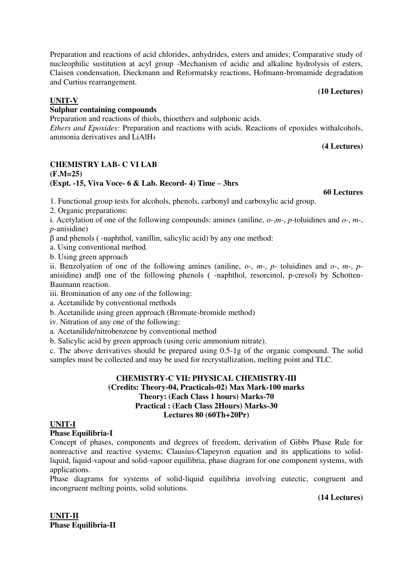Preparation and reactions of acid chlorides, anhydrides, esters and amides; Comparative study of nucleophilic sustitution at acyl group -Mechanism of acidic and alkaline hydrolysis of esters, Claisen condensation, Dieckmann and Reformatsky reactions, Hofmann-bromamide degradation and Curtius rearrangement.

#### **UNIT-V**

#### **Sulphur containing compounds**

Preparation and reactions of thiols, thioethers and sulphonic acids.

*Ethers and Epoxides:* Preparation and reactions with acids. Reactions of epoxides withalcohols, ammonia derivatives and LiAlH<sup>4</sup>

**(4 Lectures)** 

**(10 Lectures)** 

#### **CHEMISTRY LAB- C VI LAB**

#### **(F.M=25) (Expt. -15, Viva Voce- 6 & Lab. Record- 4) Time – 3hrs**

**60 Lectures** 

1. Functional group tests for alcohols, phenols, carbonyl and carboxylic acid group.

2. Organic preparations:

i. Acetylation of one of the following compounds: amines (aniline, *o*-,*m*-, *p*-toluidines and *o*-, *m*-, *p*-anisidine)

β and phenols ( -naphthol, vanillin, salicylic acid) by any one method:

a. Using conventional method.

b. Using green approach

ii. Benzolyation of one of the following amines (aniline, *o*-, *m*-, *p*- toluidines and *o*-, *m*-, *p*anisidine) andβ one of the following phenols ( -naphthol, resorcinol, p-cresol) by Schotten-Baumann reaction.

iii. Bromination of any one of the following:

a. Acetanilide by conventional methods

b. Acetanilide using green approach (Bromate-bromide method)

iv. Nitration of any one of the following:

a. Acetanilide/nitrobenzene by conventional method

b. Salicylic acid by green approach (using ceric ammonium nitrate).

c. The above derivatives should be prepared using 0.5-1g of the organic compound. The solid samples must be collected and may be used for recrystallization, melting point and TLC.

#### **CHEMISTRY-C VII: PHYSICAL CHEMISTRY-III (Credits: Theory-04, Practicals-02) Max Mark-100 marks Theory: (Each Class 1 hours) Marks-70 Practical : (Each Class 2Hours) Marks-30 Lectures 80 (60Th+20Pr)**

#### **UNIT-I**

#### **Phase Equilibria-I**

Concept of phases, components and degrees of freedom, derivation of Gibbs Phase Rule for nonreactive and reactive systems; Clausius-Clapeyron equation and its applications to solidliquid, liquid-vapour and solid-vapour equilibria, phase diagram for one component systems, with applications.

Phase diagrams for systems of solid-liquid equilibria involving eutectic, congruent and incongruent melting points, solid solutions.

**(14 Lectures)** 

**UNIT-II Phase Equilibria-II**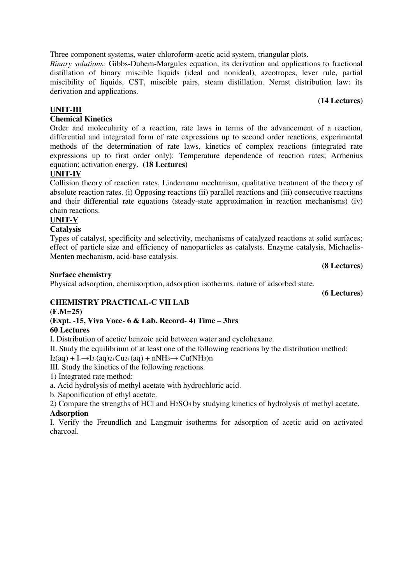Three component systems, water-chloroform-acetic acid system, triangular plots.

*Binary solutions:* Gibbs-Duhem-Margules equation, its derivation and applications to fractional distillation of binary miscible liquids (ideal and nonideal), azeotropes, lever rule, partial miscibility of liquids, CST, miscible pairs, steam distillation. Nernst distribution law: its derivation and applications.

#### **UNIT-III**

#### **Chemical Kinetics**

Order and molecularity of a reaction, rate laws in terms of the advancement of a reaction, differential and integrated form of rate expressions up to second order reactions, experimental methods of the determination of rate laws, kinetics of complex reactions (integrated rate expressions up to first order only): Temperature dependence of reaction rates; Arrhenius equation; activation energy. **(18 Lectures)** 

#### **UNIT-IV**

Collision theory of reaction rates, Lindemann mechanism, qualitative treatment of the theory of absolute reaction rates. (i) Opposing reactions (ii) parallel reactions and (iii) consecutive reactions and their differential rate equations (steady-state approximation in reaction mechanisms) (iv) chain reactions.

#### **UNIT-V**

#### **Catalysis**

Types of catalyst, specificity and selectivity, mechanisms of catalyzed reactions at solid surfaces; effect of particle size and efficiency of nanoparticles as catalysts. Enzyme catalysis, Michaelis-Menten mechanism, acid-base catalysis.

#### **Surface chemistry**

Physical adsorption, chemisorption, adsorption isotherms. nature of adsorbed state.

**(6 Lectures)** 

**(8 Lectures)** 

#### **CHEMISTRY PRACTICAL-C VII LAB**

#### **(F.M=25)**

#### **(Expt. -15, Viva Voce- 6 & Lab. Record- 4) Time – 3hrs 60 Lectures**

I. Distribution of acetic/ benzoic acid between water and cyclohexane.

II. Study the equilibrium of at least one of the following reactions by the distribution method:

 $I_2(aq) + I_3-(aq)2+Cu_2+(aq) + nNH_3 \rightarrow Cu(NH_3)n$ 

III. Study the kinetics of the following reactions.

1) Integrated rate method:

a. Acid hydrolysis of methyl acetate with hydrochloric acid.

b. Saponification of ethyl acetate.

2) Compare the strengths of HCl and H2SO4 by studying kinetics of hydrolysis of methyl acetate. **Adsorption** 

#### I. Verify the Freundlich and Langmuir isotherms for adsorption of acetic acid on activated charcoal.

#### **(14 Lectures)**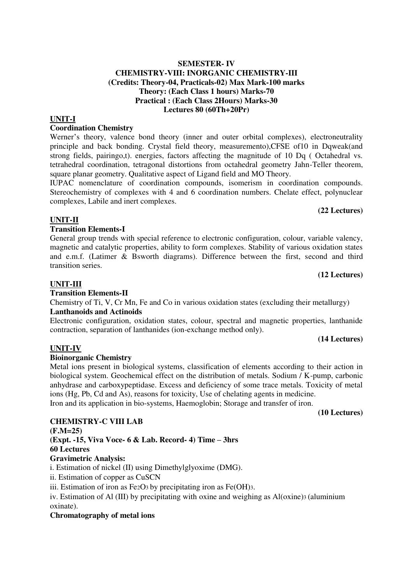#### **SEMESTER- IV CHEMISTRY-VIII: INORGANIC CHEMISTRY-III (Credits: Theory-04, Practicals-02) Max Mark-100 marks Theory: (Each Class 1 hours) Marks-70 Practical : (Each Class 2Hours) Marks-30 Lectures 80 (60Th+20Pr)**

#### **UNIT-I**

#### **Coordination Chemistry**

Werner's theory, valence bond theory (inner and outer orbital complexes), electroneutrality principle and back bonding. Crystal field theory, measuremento),CFSE of10 in Dqweak(and strong fields, pairingo,t). energies, factors affecting the magnitude of 10 Dq ( Octahedral vs. tetrahedral coordination, tetragonal distortions from octahedral geometry Jahn-Teller theorem, square planar geometry. Qualitative aspect of Ligand field and MO Theory.

IUPAC nomenclature of coordination compounds, isomerism in coordination compounds. Stereochemistry of complexes with 4 and 6 coordination numbers. Chelate effect, polynuclear complexes, Labile and inert complexes.

#### **(22 Lectures)**

#### **UNIT-II Transition Elements-I**

General group trends with special reference to electronic configuration, colour, variable valency, magnetic and catalytic properties, ability to form complexes. Stability of various oxidation states and e.m.f. (Latimer & Bsworth diagrams). Difference between the first, second and third transition series.

**(12 Lectures)** 

#### **UNIT-III**

#### **Transition Elements-II**

Chemistry of Ti, V, Cr Mn, Fe and Co in various oxidation states (excluding their metallurgy) **Lanthanoids and Actinoids** 

Electronic configuration, oxidation states, colour, spectral and magnetic properties, lanthanide contraction, separation of lanthanides (ion-exchange method only).

#### **(14 Lectures)**

**(10 Lectures)** 

#### **UNIT-IV**

#### **Bioinorganic Chemistry**

Metal ions present in biological systems, classification of elements according to their action in biological system. Geochemical effect on the distribution of metals. Sodium / K-pump, carbonic anhydrase and carboxypeptidase. Excess and deficiency of some trace metals. Toxicity of metal ions (Hg, Pb, Cd and As), reasons for toxicity, Use of chelating agents in medicine.

Iron and its application in bio-systems, Haemoglobin; Storage and transfer of iron.

#### **CHEMISTRY-C VIII LAB**

#### **(F.M=25) (Expt. -15, Viva Voce- 6 & Lab. Record- 4) Time – 3hrs 60 Lectures Gravimetric Analysis:**

i. Estimation of nickel (II) using Dimethylglyoxime (DMG).

ii. Estimation of copper as CuSCN

iii. Estimation of iron as Fe2O3 by precipitating iron as Fe(OH)3.

iv. Estimation of Al (III) by precipitating with oxine and weighing as Al(oxine)3 (aluminium oxinate).

#### **Chromatography of metal ions**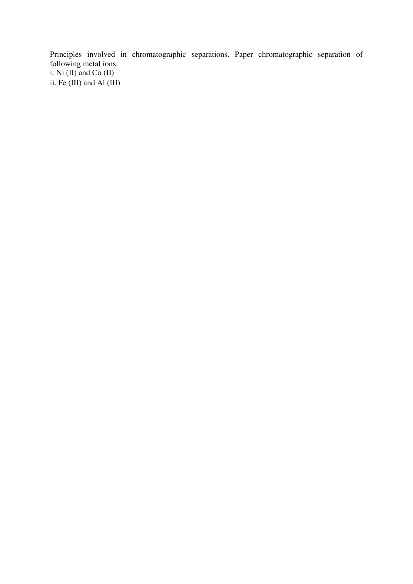Principles involved in chromatographic separations. Paper chromatographic separation of following metal ions: i. Ni (II) and Co (II) ii. Fe (III) and Al (III)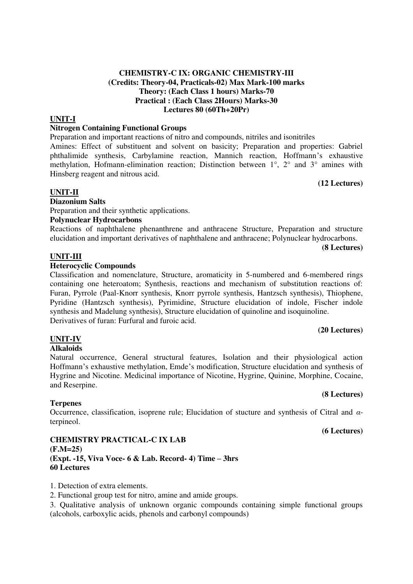#### **CHEMISTRY-C IX: ORGANIC CHEMISTRY-III (Credits: Theory-04, Practicals-02) Max Mark-100 marks Theory: (Each Class 1 hours) Marks-70 Practical : (Each Class 2Hours) Marks-30 Lectures 80 (60Th+20Pr)**

#### **UNIT-I**

#### **Nitrogen Containing Functional Groups**

Preparation and important reactions of nitro and compounds, nitriles and isonitriles

Amines: Effect of substituent and solvent on basicity; Preparation and properties: Gabriel phthalimide synthesis, Carbylamine reaction, Mannich reaction, Hoffmann's exhaustive methylation, Hofmann-elimination reaction; Distinction between 1°, 2° and 3° amines with Hinsberg reagent and nitrous acid.

**(12 Lectures)** 

**(8 Lectures)** 

#### **UNIT-II**

**Diazonium Salts** 

Preparation and their synthetic applications.

#### **Polynuclear Hydrocarbons**

Reactions of naphthalene phenanthrene and anthracene Structure, Preparation and structure elucidation and important derivatives of naphthalene and anthracene; Polynuclear hydrocarbons.

#### **UNIT-III**

#### **Heterocyclic Compounds**

Classification and nomenclature, Structure, aromaticity in 5-numbered and 6-membered rings containing one heteroatom; Synthesis, reactions and mechanism of substitution reactions of: Furan, Pyrrole (Paal-Knorr synthesis, Knorr pyrrole synthesis, Hantzsch synthesis), Thiophene, Pyridine (Hantzsch synthesis), Pyrimidine, Structure elucidation of indole, Fischer indole synthesis and Madelung synthesis), Structure elucidation of quinoline and isoquinoline. Derivatives of furan: Furfural and furoic acid.

#### **(20 Lectures)**

#### **UNIT-IV**

#### **Alkaloids**

Natural occurrence, General structural features, Isolation and their physiological action Hoffmann's exhaustive methylation, Emde's modification, Structure elucidation and synthesis of Hygrine and Nicotine. Medicinal importance of Nicotine, Hygrine, Quinine, Morphine, Cocaine, and Reserpine.

#### **(8 Lectures)**

#### **Terpenes**

Occurrence, classification, isoprene rule; Elucidation of stucture and synthesis of Citral and *α*terpineol.

#### **(6 Lectures)**

#### **CHEMISTRY PRACTICAL-C IX LAB (F.M=25) (Expt. -15, Viva Voce- 6 & Lab. Record- 4) Time – 3hrs 60 Lectures**

1. Detection of extra elements.

2. Functional group test for nitro, amine and amide groups.

3. Qualitative analysis of unknown organic compounds containing simple functional groups (alcohols, carboxylic acids, phenols and carbonyl compounds)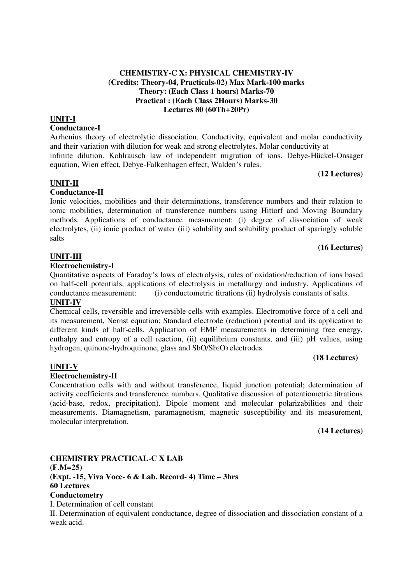#### **CHEMISTRY-C X: PHYSICAL CHEMISTRY-IV (Credits: Theory-04, Practicals-02) Max Mark-100 marks Theory: (Each Class 1 hours) Marks-70 Practical : (Each Class 2Hours) Marks-30 Lectures 80 (60Th+20Pr)**

#### **UNIT-I**

**Conductance-I** 

Arrhenius theory of electrolytic dissociation. Conductivity, equivalent and molar conductivity and their variation with dilution for weak and strong electrolytes. Molar conductivity at infinite dilution. Kohlrausch law of independent migration of ions. Debye-Hückel-Onsager equation, Wien effect, Debye-Falkenhagen effect, Walden's rules.

**(12 Lectures)** 

#### **UNIT-II**

#### **Conductance-II**

Ionic velocities, mobilities and their determinations, transference numbers and their relation to ionic mobilities, determination of transference numbers using Hittorf and Moving Boundary methods. Applications of conductance measurement: (i) degree of dissociation of weak electrolytes, (ii) ionic product of water (iii) solubility and solubility product of sparingly soluble salts

#### **(16 Lectures)**

#### **UNIT-III**

#### **Electrochemistry-I**

Quantitative aspects of Faraday's laws of electrolysis, rules of oxidation/reduction of ions based on half-cell potentials, applications of electrolysis in metallurgy and industry. Applications of conductance measurement: (i) conductometric titrations (ii) hydrolysis constants of salts. **UNIT-IV** 

Chemical cells, reversible and irreversible cells with examples. Electromotive force of a cell and its measurement, Nernst equation; Standard electrode (reduction) potential and its application to different kinds of half-cells. Application of EMF measurements in determining free energy, enthalpy and entropy of a cell reaction, (ii) equilibrium constants, and (iii) pH values, using hydrogen, quinone-hydroquinone, glass and SbO/Sb2O3 electrodes.

#### **(18 Lectures)**

#### **UNIT-V**

#### **Electrochemistry-II**

Concentration cells with and without transference, liquid junction potential; determination of activity coefficients and transference numbers. Qualitative discussion of potentiometric titrations (acid-base, redox, precipitation). Dipole moment and molecular polarizabilities and their measurements. Diamagnetism, paramagnetism, magnetic susceptibility and its measurement, molecular interpretation.

#### **(14 Lectures)**

**CHEMISTRY PRACTICAL-C X LAB (F.M=25) (Expt. -15, Viva Voce- 6 & Lab. Record- 4) Time – 3hrs 60 Lectures Conductometry**  I. Determination of cell constant

II. Determination of equivalent conductance, degree of dissociation and dissociation constant of a weak acid.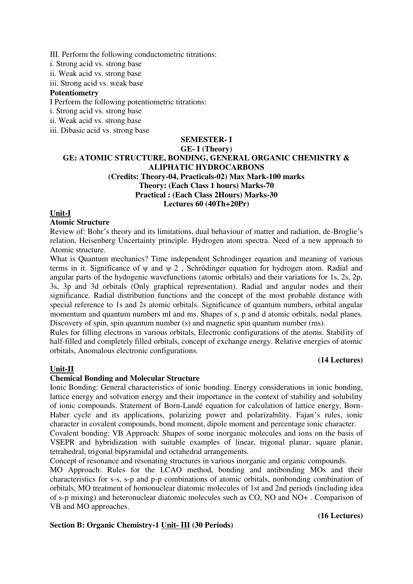III. Perform the following conductometric titrations:

i. Strong acid vs. strong base

ii. Weak acid vs. strong base

iii. Strong acid vs. weak base

#### **Potentiometry**

I Perform the following potentiometric titrations:

i. Strong acid vs. strong base

ii. Weak acid vs. strong base

iii. Dibasic acid vs. strong base

#### **SEMESTER- I GE- I (Theory) GE: ATOMIC STRUCTURE, BONDING, GENERAL ORGANIC CHEMISTRY & ALIPHATIC HYDROCARBONS (Credits: Theory-04, Practicals-02) Max Mark-100 marks Theory: (Each Class 1 hours) Marks-70 Practical : (Each Class 2Hours) Marks-30 Lectures 60 (40Th+20Pr)**

#### **Unit-I**

#### **Atomic Structure**

Review of: Bohr's theory and its limitations, dual behaviour of matter and radiation, de-Broglie's relation, Heisenberg Uncertainty principle. Hydrogen atom spectra. Need of a new approach to Atomic structure.

What is Quantum mechanics? Time independent Schrodinger equation and meaning of various terms in it. Significance of ψ and ψ 2 , Schrödinger equation for hydrogen atom. Radial and angular parts of the hydogenic wavefunctions (atomic orbitals) and their variations for 1s, 2s, 2p, 3s, 3p and 3d orbitals (Only graphical representation). Radial and angular nodes and their significance. Radial distribution functions and the concept of the most probable distance with special reference to 1s and 2s atomic orbitals. Significance of quantum numbers, orbital angular momentum and quantum numbers ml and ms. Shapes of s, p and d atomic orbitals, nodal planes. Discovery of spin, spin quantum number (s) and magnetic spin quantum number (ms).

Rules for filling electrons in various orbitals, Electronic configurations of the atoms. Stability of half-filled and completely filled orbitals, concept of exchange energy. Relative energies of atomic orbitals, Anomalous electronic configurations.

#### **(14 Lectures)**

#### **Unit-II**

#### **Chemical Bonding and Molecular Structure**

Ionic Bonding: General characteristics of ionic bonding. Energy considerations in ionic bonding, lattice energy and solvation energy and their importance in the context of stability and solubility of ionic compounds. Statement of Born-Landé equation for calculation of lattice energy, Born-Haber cycle and its applications, polarizing power and polarizability. Fajan's rules, ionic character in covalent compounds, bond moment, dipole moment and percentage ionic character.

Covalent bonding: VB Approach: Shapes of some inorganic molecules and ions on the basis of VSEPR and hybridization with suitable examples of linear, trigonal planar, square planar, tetrahedral, trigonal bipyramidal and octahedral arrangements.

Concept of resonance and resonating structures in various inorganic and organic compounds.

MO Approach: Rules for the LCAO method, bonding and antibonding MOs and their characteristics for s-s, s-p and p-p combinations of atomic orbitals, nonbonding combination of orbitals, MO treatment of homonuclear diatomic molecules of 1st and 2nd periods (including idea of s-p mixing) and heteronuclear diatomic molecules such as CO, NO and NO+ . Comparison of VB and MO approaches.

**Section B: Organic Chemistry-1 Unit- III (30 Periods)** 

**(16 Lectures)**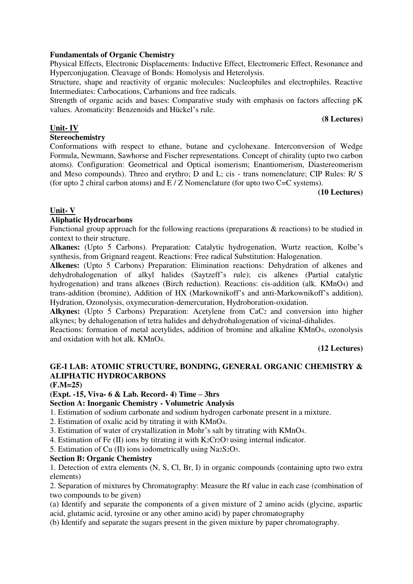#### **Fundamentals of Organic Chemistry**

Physical Effects, Electronic Displacements: Inductive Effect, Electromeric Effect, Resonance and Hyperconjugation. Cleavage of Bonds: Homolysis and Heterolysis.

Structure, shape and reactivity of organic molecules: Nucleophiles and electrophiles. Reactive Intermediates: Carbocations, Carbanions and free radicals.

Strength of organic acids and bases: Comparative study with emphasis on factors affecting pK values. Aromaticity: Benzenoids and Hückel's rule.

#### **(8 Lectures)**

#### **Unit- IV**

#### **Stereochemistry**

Conformations with respect to ethane, butane and cyclohexane. Interconversion of Wedge Formula, Newmann, Sawhorse and Fischer representations. Concept of chirality (upto two carbon atoms). Configuration: Geometrical and Optical isomerism; Enantiomerism, Diastereomerism and Meso compounds). Threo and erythro; D and L; cis - trans nomenclature; CIP Rules: R/ S (for upto 2 chiral carbon atoms) and  $E/Z$  Nomenclature (for upto two C=C systems).

#### **(10 Lectures)**

#### **Unit- V**

#### **Aliphatic Hydrocarbons**

Functional group approach for the following reactions (preparations & reactions) to be studied in context to their structure.

**Alkanes:** (Upto 5 Carbons). Preparation: Catalytic hydrogenation, Wurtz reaction, Kolbe's synthesis, from Grignard reagent. Reactions: Free radical Substitution: Halogenation.

**Alkenes:** (Upto 5 Carbons) Preparation: Elimination reactions: Dehydration of alkenes and dehydrohalogenation of alkyl halides (Saytzeff's rule); cis alkenes (Partial catalytic hydrogenation) and trans alkenes (Birch reduction). Reactions: cis-addition (alk. KMnO<sub>4</sub>) and trans-addition (bromine), Addition of HX (Markownikoff's and anti-Markownikoff's addition), Hydration, Ozonolysis, oxymecuration-demercuration, Hydroboration-oxidation.

Alkynes: (Upto 5 Carbons) Preparation: Acetylene from CaC<sub>2</sub> and conversion into higher alkynes; by dehalogenation of tetra halides and dehydrohalogenation of vicinal-dihalides.

Reactions: formation of metal acetylides, addition of bromine and alkaline KMnO4, ozonolysis and oxidation with hot alk  $KMnO<sub>4</sub>$ .

#### **(12 Lectures)**

#### **GE-I LAB: ATOMIC STRUCTURE, BONDING, GENERAL ORGANIC CHEMISTRY & ALIPHATIC HYDROCARBONS**

#### **(F.M=25)**

**(Expt. -15, Viva- 6 & Lab. Record- 4) Time – 3hrs** 

#### **Section A: Inorganic Chemistry - Volumetric Analysis**

1. Estimation of sodium carbonate and sodium hydrogen carbonate present in a mixture.

- 2. Estimation of oxalic acid by titrating it with KMnO4.
- 3. Estimation of water of crystallization in Mohr's salt by titrating with KMnO4.
- 4. Estimation of Fe (II) ions by titrating it with K2Cr2O7 using internal indicator.

5. Estimation of Cu (II) ions iodometrically using Na2S2O3.

#### **Section B: Organic Chemistry**

1. Detection of extra elements (N, S, Cl, Br, I) in organic compounds (containing upto two extra elements)

2. Separation of mixtures by Chromatography: Measure the Rf value in each case (combination of two compounds to be given)

(a) Identify and separate the components of a given mixture of 2 amino acids (glycine, aspartic acid, glutamic acid, tyrosine or any other amino acid) by paper chromatography

(b) Identify and separate the sugars present in the given mixture by paper chromatography.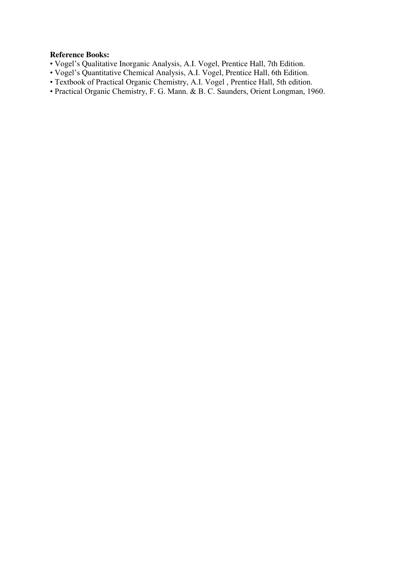#### **Reference Books:**

- Vogel's Qualitative Inorganic Analysis, A.I. Vogel, Prentice Hall, 7th Edition.
- Vogel's Quantitative Chemical Analysis, A.I. Vogel, Prentice Hall, 6th Edition.
- Textbook of Practical Organic Chemistry, A.I. Vogel , Prentice Hall, 5th edition.
- Practical Organic Chemistry, F. G. Mann. & B. C. Saunders, Orient Longman, 1960.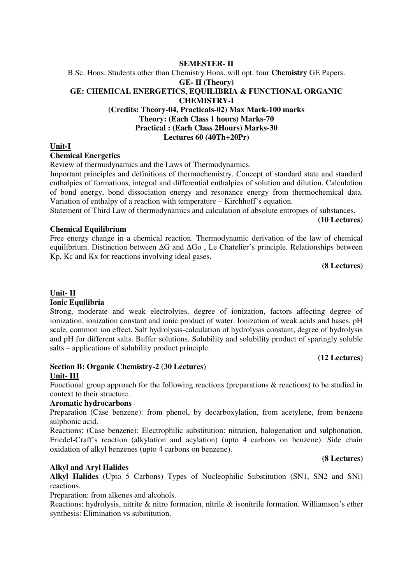#### B.Sc. Hons. Students other than Chemistry Hons. will opt. four **Chemistry** GE Papers. **GE- II (Theory) GE: CHEMICAL ENERGETICS, EQUILIBRIA & FUNCTIONAL ORGANIC CHEMISTRY-I (Credits: Theory-04, Practicals-02) Max Mark-100 marks Theory: (Each Class 1 hours) Marks-70 Practical : (Each Class 2Hours) Marks-30 Lectures 60 (40Th+20Pr)**

**Unit-I** 

#### **Chemical Energetics**

Review of thermodynamics and the Laws of Thermodynamics.

Important principles and definitions of thermochemistry. Concept of standard state and standard enthalpies of formations, integral and differential enthalpies of solution and dilution. Calculation of bond energy, bond dissociation energy and resonance energy from thermochemical data. Variation of enthalpy of a reaction with temperature – Kirchhoff's equation.

Statement of Third Law of thermodynamics and calculation of absolute entropies of substances.

#### **Chemical Equilibrium**

Free energy change in a chemical reaction. Thermodynamic derivation of the law of chemical equilibrium. Distinction between  $\Delta G$  and  $\Delta G$ o. Le Chatelier's principle. Relationships between Kp, Kc and Kx for reactions involving ideal gases.

#### **(8 Lectures)**

**(10 Lectures)** 

#### **Unit- II**

#### **Ionic Equilibria**

Strong, moderate and weak electrolytes, degree of ionization, factors affecting degree of ionization, ionization constant and ionic product of water. Ionization of weak acids and bases, pH scale, common ion effect. Salt hydrolysis-calculation of hydrolysis constant, degree of hydrolysis and pH for different salts. Buffer solutions. Solubility and solubility product of sparingly soluble salts – applications of solubility product principle.

#### **(12 Lectures)**

**(8 Lectures)** 

#### **Section B: Organic Chemistry-2 (30 Lectures)**

#### **Unit- III**

Functional group approach for the following reactions (preparations & reactions) to be studied in context to their structure.

#### **Aromatic hydrocarbons**

Preparation (Case benzene): from phenol, by decarboxylation, from acetylene, from benzene sulphonic acid.

Reactions: (Case benzene): Electrophilic substitution: nitration, halogenation and sulphonation. Friedel-Craft's reaction (alkylation and acylation) (upto 4 carbons on benzene). Side chain oxidation of alkyl benzenes (upto 4 carbons on benzene).

#### **Alkyl and Aryl Halides**

**Alkyl Halides** (Upto 5 Carbons) Types of Nucleophilic Substitution (SN1, SN2 and SNi) reactions.

Preparation: from alkenes and alcohols.

Reactions: hydrolysis, nitrite & nitro formation, nitrile & isonitrile formation. Williamson's ether synthesis: Elimination vs substitution.

#### **SEMESTER- II**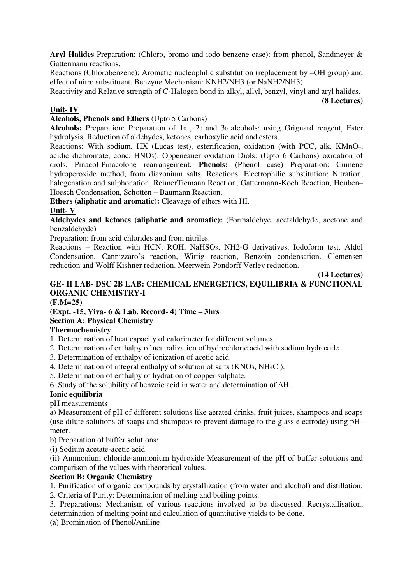**Aryl Halides** Preparation: (Chloro, bromo and iodo-benzene case): from phenol, Sandmeyer & Gattermann reactions.

Reactions (Chlorobenzene): Aromatic nucleophilic substitution (replacement by –OH group) and effect of nitro substituent. Benzyne Mechanism: KNH2/NH3 (or NaNH2/NH3).

Reactivity and Relative strength of C-Halogen bond in alkyl, allyl, benzyl, vinyl and aryl halides.

**(8 Lectures)** 

**Unit- IV** 

**Alcohols, Phenols and Ethers** (Upto 5 Carbons)

**Alcohols:** Preparation: Preparation of 10 , 20 and 30 alcohols: using Grignard reagent, Ester hydrolysis, Reduction of aldehydes, ketones, carboxylic acid and esters.

Reactions: With sodium, HX (Lucas test), esterification, oxidation (with PCC, alk. KMnO4, acidic dichromate, conc. HNO3). Oppeneauer oxidation Diols: (Upto 6 Carbons) oxidation of diols. Pinacol-Pinacolone rearrangement. **Phenols:** (Phenol case) Preparation: Cumene hydroperoxide method, from diazonium salts. Reactions: Electrophilic substitution: Nitration, halogenation and sulphonation. ReimerTiemann Reaction, Gattermann-Koch Reaction, Houben– Hoesch Condensation, Schotten – Baumann Reaction.

**Ethers (aliphatic and aromatic):** Cleavage of ethers with HI.

**Unit- V** 

**Aldehydes and ketones (aliphatic and aromatic):** (Formaldehye, acetaldehyde, acetone and benzaldehyde)

Preparation: from acid chlorides and from nitriles.

Reactions – Reaction with HCN, ROH, NaHSO3, NH2-G derivatives. Iodoform test. Aldol Condensation, Cannizzaro's reaction, Wittig reaction, Benzoin condensation. Clemensen reduction and Wolff Kishner reduction. Meerwein-Pondorff Verley reduction.

**(14 Lectures) GE- II LAB- DSC 2B LAB: CHEMICAL ENERGETICS, EQUILIBRIA & FUNCTIONAL ORGANIC CHEMISTRY-I** 

**(F.M=25)** 

**(Expt. -15, Viva- 6 & Lab. Record- 4) Time – 3hrs** 

#### **Section A: Physical Chemistry**

#### **Thermochemistry**

1. Determination of heat capacity of calorimeter for different volumes.

- 2. Determination of enthalpy of neutralization of hydrochloric acid with sodium hydroxide.
- 3. Determination of enthalpy of ionization of acetic acid.
- 4. Determination of integral enthalpy of solution of salts (KNO3, NH4Cl).
- 5. Determination of enthalpy of hydration of copper sulphate.

6. Study of the solubility of benzoic acid in water and determination of ΔH.

#### **Ionic equilibria**

pH measurements

a) Measurement of pH of different solutions like aerated drinks, fruit juices, shampoos and soaps (use dilute solutions of soaps and shampoos to prevent damage to the glass electrode) using pHmeter.

b) Preparation of buffer solutions:

(i) Sodium acetate-acetic acid

(ii) Ammonium chloride-ammonium hydroxide Measurement of the pH of buffer solutions and comparison of the values with theoretical values.

#### **Section B: Organic Chemistry**

1. Purification of organic compounds by crystallization (from water and alcohol) and distillation.

2. Criteria of Purity: Determination of melting and boiling points.

3. Preparations: Mechanism of various reactions involved to be discussed. Recrystallisation, determination of melting point and calculation of quantitative yields to be done.

(a) Bromination of Phenol/Aniline